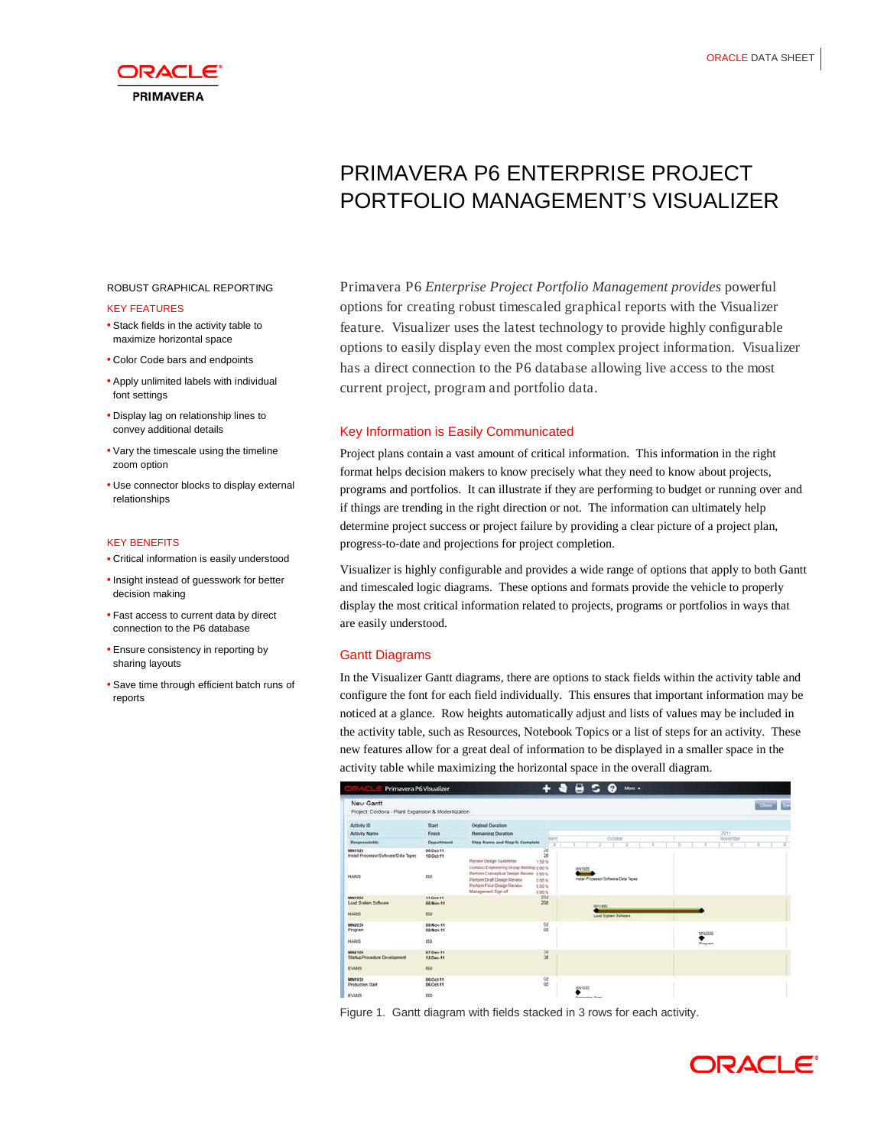

# PRIMAVERA P6 ENTERPRISE PROJECT PORTFOLIO MANAGEMENT'S VISUALIZER

#### ROBUST GRAPHICAL REPORTING

#### KEY FEATURES

- Stack fields in the activity table to maximize horizontal space
- Color Code bars and endpoints
- Apply unlimited labels with individual font settings
- Display lag on relationship lines to convey additional details
- Vary the timescale using the timeline zoom option
- Use connector blocks to display external relationships

#### KEY BENEFITS

- Critical information is easily understood
- Insight instead of guesswork for better decision making
- Fast access to current data by direct connection to the P6 database
- Ensure consistency in reporting by sharing layouts
- Save time through efficient batch runs of reports

Primavera P6 *Enterprise Project Portfolio Management provides* powerful options for creating robust timescaled graphical reports with the Visualizer feature. Visualizer uses the latest technology to provide highly configurable options to easily display even the most complex project information. Visualizer has a direct connection to the P6 database allowing live access to the most current project, program and portfolio data.

# Key Information is Easily Communicated

Project plans contain a vast amount of critical information. This information in the right format helps decision makers to know precisely what they need to know about projects, programs and portfolios. It can illustrate if they are performing to budget or running over and if things are trending in the right direction or not. The information can ultimately help determine project success or project failure by providing a clear picture of a project plan, progress-to-date and projections for project completion.

Visualizer is highly configurable and provides a wide range of options that apply to both Gantt and timescaled logic diagrams. These options and formats provide the vehicle to properly display the most critical information related to projects, programs or portfolios in ways that are easily understood.

## Gantt Diagrams

In the Visualizer Gantt diagrams, there are options to stack fields within the activity table and configure the font for each field individually. This ensures that important information may be noticed at a glance. Row heights automatically adjust and lists of values may be included in the activity table, such as Resources, Notebook Topics or a list of steps for an activity. These new features allow for a great deal of information to be displayed in a smaller space in the activity table while maximizing the horizontal space in the overall diagram.

| $B$ 5 $\theta$<br>٠<br>More .<br>Primavera P6 Visualizer        |                        |                                                                                                                                                                                                        |                                                |          |                     |
|-----------------------------------------------------------------|------------------------|--------------------------------------------------------------------------------------------------------------------------------------------------------------------------------------------------------|------------------------------------------------|----------|---------------------|
| New Gantt<br>Project: Cordova - Plant Expansion & Modernization |                        |                                                                                                                                                                                                        |                                                |          | <b>tax</b><br>Close |
| Activity ID                                                     | Start.                 | <b>Original Duration</b>                                                                                                                                                                               |                                                |          |                     |
| <b>Activity Name</b>                                            | Finish                 | <b>Remaining Duration</b>                                                                                                                                                                              |                                                | 2011     |                     |
| Responsibility                                                  | <b>Department</b>      | Xen<br>Step Name and Step % Complete<br>ö                                                                                                                                                              | October                                        | November |                     |
| MN1920<br>Install Processor/Software/Data Tapes                 | 06-Oct-11<br>10-Oct-11 | 2d<br>2d<br>Review Design Guidelines<br>1.50%                                                                                                                                                          |                                                |          |                     |
| <b>HARIS</b>                                                    | <b>COLL</b><br>15D     | Conduct Engineering Group Meeting g.go %<br>Perform Conceptual Design Review 0.00 %<br>Perform Draft Design Review<br>$0.00$ %<br>Perform Final Design Review<br>0.00%<br>Management Sign-off<br>8.86% | MN1020<br>Install Processor/Schware/Data Tapes |          |                     |
| <b>MN1950</b><br><b>Load System Software</b>                    | 11-Det-11<br>05.Nov.11 | 20d<br>208                                                                                                                                                                                             | MPV1950                                        |          |                     |
| <b>HARIS</b>                                                    | 80                     |                                                                                                                                                                                                        | Load System Software                           |          |                     |
| MN2030<br>Program                                               | 05.Nov.11<br>08.Nov.11 | $rac{0d}{0d}$                                                                                                                                                                                          |                                                | MN2030   |                     |
| <b>HARIS</b>                                                    | 150                    |                                                                                                                                                                                                        |                                                | Program  |                     |
| MN2100<br>Startup Procedure Development                         | 07-Dec-11<br>12-Dec-11 | $rac{3d}{3d}$                                                                                                                                                                                          |                                                |          |                     |
| <b>EVANS</b>                                                    | <b>ISD</b>             |                                                                                                                                                                                                        |                                                |          |                     |
| MN1930<br><b>Production Start</b>                               | 06.0cl.11<br>06-Oct-11 | $\frac{0d}{0d}$                                                                                                                                                                                        | MNHSSID                                        |          |                     |
| <b>EVANS</b>                                                    | 150                    |                                                                                                                                                                                                        | <b>Bond office Truck</b>                       |          |                     |

Figure 1. Gantt diagram with fields stacked in 3 rows for each activity.

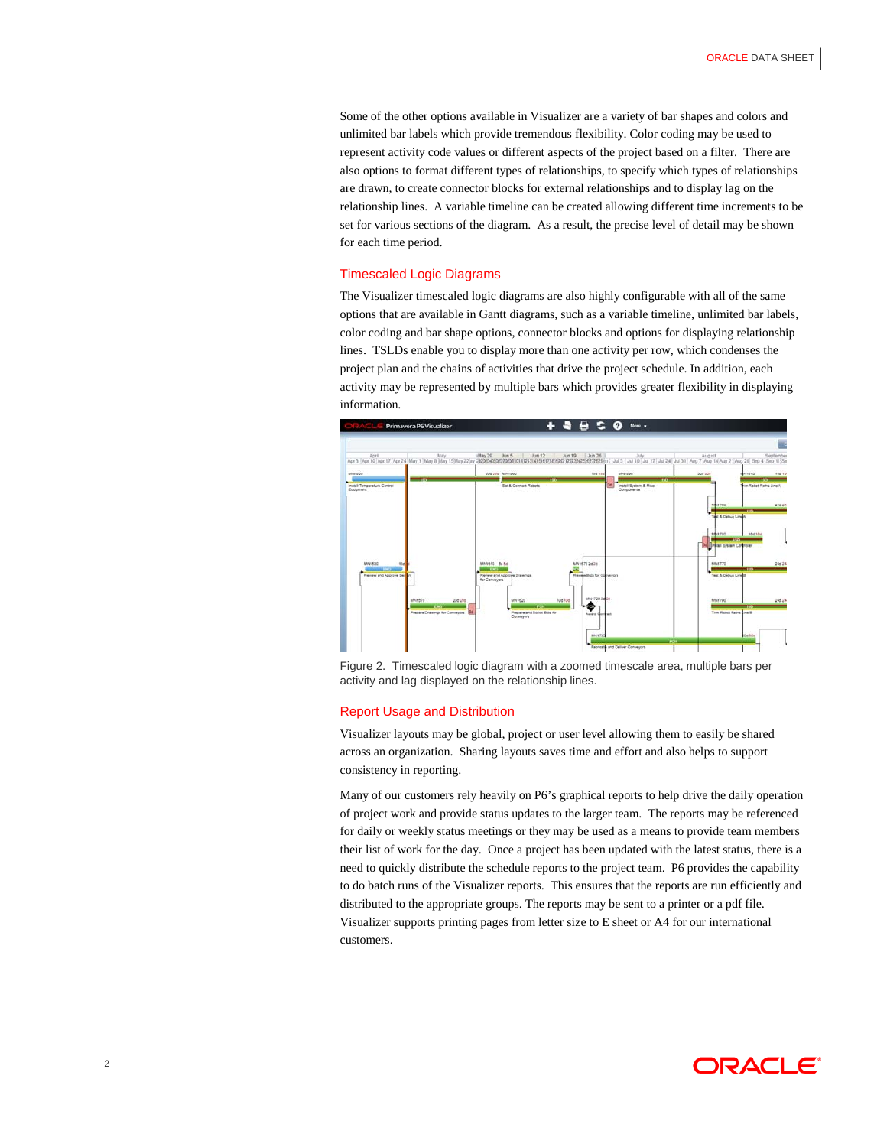Some of the other options available in Visualizer are a variety of bar shapes and colors and unlimited bar labels which provide tremendous flexibility. Color coding may be used to represent activity code values or different aspects of the project based on a filter. There are also options to format different types of relationships, to specify which types of relationships are drawn, to create connector blocks for external relationships and to display lag on the relationship lines. A variable timeline can be created allowing different time increments to be set for various sections of the diagram. As a result, the precise level of detail may be shown for each time period.

#### Timescaled Logic Diagrams

The Visualizer timescaled logic diagrams are also highly configurable with all of the same options that are available in Gantt diagrams, such as a variable timeline, unlimited bar labels, color coding and bar shape options, connector blocks and options for displaying relationship lines. TSLDs enable you to display more than one activity per row, which condenses the project plan and the chains of activities that drive the project schedule. In addition, each activity may be represented by multiple bars which provides greater flexibility in displaying information.



Figure 2. Timescaled logic diagram with a zoomed timescale area, multiple bars per activity and lag displayed on the relationship lines.

# Report Usage and Distribution

Visualizer layouts may be global, project or user level allowing them to easily be shared across an organization. Sharing layouts saves time and effort and also helps to support consistency in reporting.

Many of our customers rely heavily on P6's graphical reports to help drive the daily operation of project work and provide status updates to the larger team. The reports may be referenced for daily or weekly status meetings or they may be used as a means to provide team members their list of work for the day. Once a project has been updated with the latest status, there is a need to quickly distribute the schedule reports to the project team. P6 provides the capability to do batch runs of the Visualizer reports. This ensures that the reports are run efficiently and distributed to the appropriate groups. The reports may be sent to a printer or a pdf file. Visualizer supports printing pages from letter size to E sheet or A4 for our international customers.